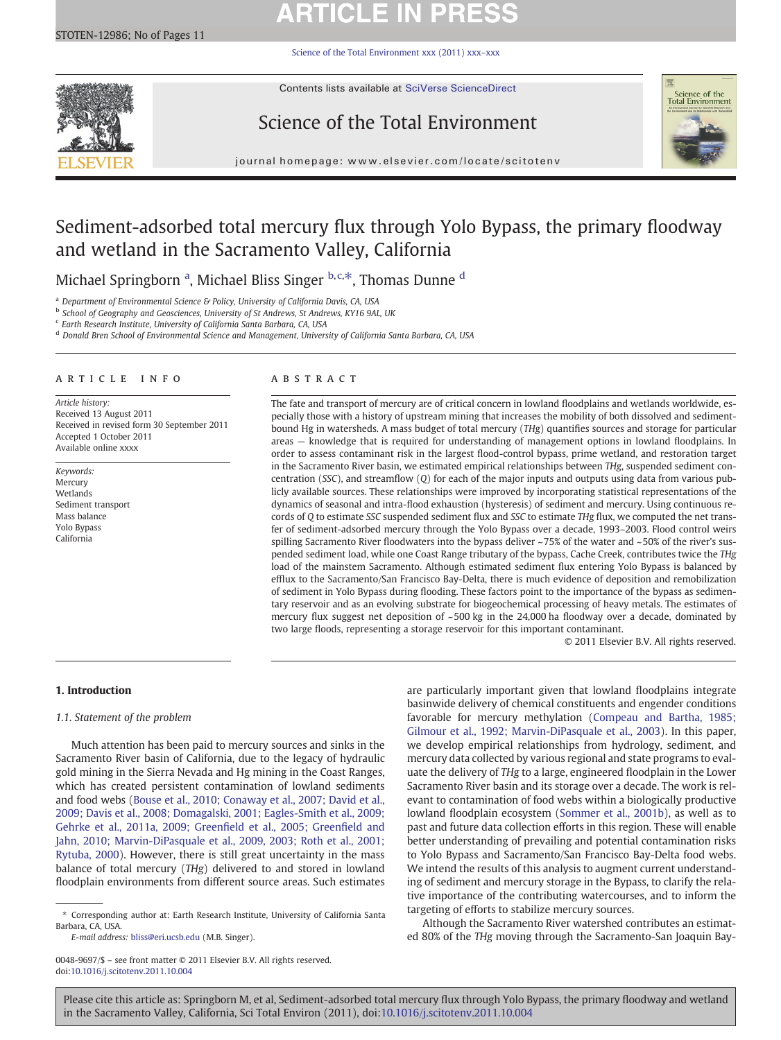# **ARTICLE IN PRESS**

Science of the Total Environment xxx (2011) xxx–xxx



Contents lists available at SciVerse ScienceDirect

# Science of the Total Environment



journal homepage: www.elsevier.com/locate/scitotenv

# Sediment-adsorbed total mercury flux through Yolo Bypass, the primary floodway and wetland in the Sacramento Valley, California

Michael Springborn <sup>a</sup>, Michael Bliss Singer <sup>b,c,\*</sup>, Thomas Dunne <sup>d</sup>

<sup>a</sup> Department of Environmental Science & Policy, University of California Davis, CA, USA

b School of Geography and Geosciences, University of St Andrews, St Andrews, KY16 9AL, UK

<sup>c</sup> Earth Research Institute, University of California Santa Barbara, CA, USA

<sup>d</sup> Donald Bren School of Environmental Science and Management, University of California Santa Barbara, CA, USA

# article info abstract

Article history: Received 13 August 2011 Received in revised form 30 September 2011 Accepted 1 October 2011 Available online xxxx

Keywords: Mercury **Wetlands** Sediment transport Mass balance Yolo Bypass California

The fate and transport of mercury are of critical concern in lowland floodplains and wetlands worldwide, especially those with a history of upstream mining that increases the mobility of both dissolved and sedimentbound Hg in watersheds. A mass budget of total mercury (THg) quantifies sources and storage for particular areas — knowledge that is required for understanding of management options in lowland floodplains. In order to assess contaminant risk in the largest flood-control bypass, prime wetland, and restoration target in the Sacramento River basin, we estimated empirical relationships between THg, suspended sediment concentration (SSC), and streamflow (Q) for each of the major inputs and outputs using data from various publicly available sources. These relationships were improved by incorporating statistical representations of the dynamics of seasonal and intra-flood exhaustion (hysteresis) of sediment and mercury. Using continuous records of Q to estimate SSC suspended sediment flux and SSC to estimate THg flux, we computed the net transfer of sediment-adsorbed mercury through the Yolo Bypass over a decade, 1993–2003. Flood control weirs spilling Sacramento River floodwaters into the bypass deliver ~75% of the water and ~50% of the river's suspended sediment load, while one Coast Range tributary of the bypass, Cache Creek, contributes twice the THg load of the mainstem Sacramento. Although estimated sediment flux entering Yolo Bypass is balanced by efflux to the Sacramento/San Francisco Bay-Delta, there is much evidence of deposition and remobilization of sediment in Yolo Bypass during flooding. These factors point to the importance of the bypass as sedimentary reservoir and as an evolving substrate for biogeochemical processing of heavy metals. The estimates of mercury flux suggest net deposition of ~500 kg in the 24,000 ha floodway over a decade, dominated by two large floods, representing a storage reservoir for this important contaminant.

© 2011 Elsevier B.V. All rights reserved.

# 1. Introduction

# 1.1. Statement of the problem

Much attention has been paid to mercury sources and sinks in the Sacramento River basin of California, due to the legacy of hydraulic gold mining in the Sierra Nevada and Hg mining in the Coast Ranges, which has created persistent contamination of lowland sediments and food webs ([Bouse et al., 2010; Conaway et al., 2007; David et al.,](#page-9-0) [2009; Davis et al., 2008; Domagalski, 2001; Eagles-Smith et al., 2009;](#page-9-0) [Gehrke et al., 2011a, 2009; Green](#page-9-0)field et al., 2005; Greenfield and [Jahn, 2010; Marvin-DiPasquale et al., 2009, 2003; Roth et al., 2001;](#page-9-0) [Rytuba, 2000\)](#page-9-0). However, there is still great uncertainty in the mass balance of total mercury (THg) delivered to and stored in lowland floodplain environments from different source areas. Such estimates

E-mail address: bliss@eri.ucsb.edu (M.B. Singer).

are particularly important given that lowland floodplains integrate basinwide delivery of chemical constituents and engender conditions favorable for mercury methylation ([Compeau and Bartha, 1985;](#page-10-0) [Gilmour et al., 1992; Marvin-DiPasquale et al., 2003\)](#page-10-0). In this paper, we develop empirical relationships from hydrology, sediment, and mercury data collected by various regional and state programs to evaluate the delivery of THg to a large, engineered floodplain in the Lower Sacramento River basin and its storage over a decade. The work is relevant to contamination of food webs within a biologically productive lowland floodplain ecosystem [\(Sommer et al., 2001b](#page-10-0)), as well as to past and future data collection efforts in this region. These will enable better understanding of prevailing and potential contamination risks to Yolo Bypass and Sacramento/San Francisco Bay-Delta food webs. We intend the results of this analysis to augment current understanding of sediment and mercury storage in the Bypass, to clarify the relative importance of the contributing watercourses, and to inform the targeting of efforts to stabilize mercury sources.

Although the Sacramento River watershed contributes an estimated 80% of the THg moving through the Sacramento-San Joaquin Bay-

<sup>⁎</sup> Corresponding author at: Earth Research Institute, University of California Santa Barbara, CA, USA.

<sup>0048-9697/\$</sup> – see front matter © 2011 Elsevier B.V. All rights reserved. doi:[10.1016/j.scitotenv.2011.10.004](http://dx.doi.org/10.1016/j.scitotenv.2011.10.004)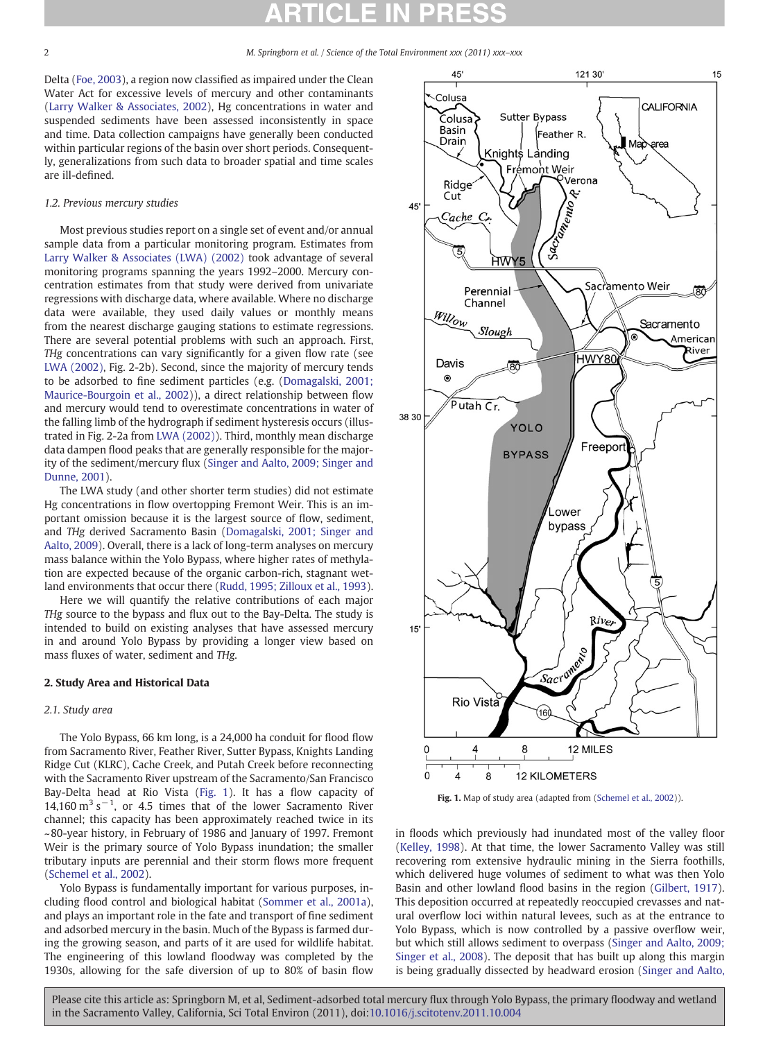<span id="page-1-0"></span>Delta [\(Foe, 2003\)](#page-10-0), a region now classified as impaired under the Clean Water Act for excessive levels of mercury and other contaminants [\(Larry Walker & Associates, 2002\)](#page-10-0), Hg concentrations in water and suspended sediments have been assessed inconsistently in space and time. Data collection campaigns have generally been conducted within particular regions of the basin over short periods. Consequently, generalizations from such data to broader spatial and time scales are ill-defined.

# 1.2. Previous mercury studies

Most previous studies report on a single set of event and/or annual sample data from a particular monitoring program. Estimates from [Larry Walker & Associates \(LWA\) \(2002\)](#page-10-0) took advantage of several monitoring programs spanning the years 1992–2000. Mercury concentration estimates from that study were derived from univariate regressions with discharge data, where available. Where no discharge data were available, they used daily values or monthly means from the nearest discharge gauging stations to estimate regressions. There are several potential problems with such an approach. First, THg concentrations can vary significantly for a given flow rate (see [LWA \(2002\),](#page-10-0) Fig. 2-2b). Second, since the majority of mercury tends to be adsorbed to fine sediment particles (e.g. [\(Domagalski, 2001;](#page-10-0) [Maurice-Bourgoin et al., 2002](#page-10-0))), a direct relationship between flow and mercury would tend to overestimate concentrations in water of the falling limb of the hydrograph if sediment hysteresis occurs (illustrated in Fig. 2-2a from [LWA \(2002\)](#page-10-0)). Third, monthly mean discharge data dampen flood peaks that are generally responsible for the majority of the sediment/mercury flux ([Singer and Aalto, 2009; Singer and](#page-10-0) [Dunne, 2001](#page-10-0)).

The LWA study (and other shorter term studies) did not estimate Hg concentrations in flow overtopping Fremont Weir. This is an important omission because it is the largest source of flow, sediment, and THg derived Sacramento Basin [\(Domagalski, 2001; Singer and](#page-10-0) [Aalto, 2009\)](#page-10-0). Overall, there is a lack of long-term analyses on mercury mass balance within the Yolo Bypass, where higher rates of methylation are expected because of the organic carbon-rich, stagnant wetland environments that occur there [\(Rudd, 1995; Zilloux et al., 1993](#page-10-0)).

Here we will quantify the relative contributions of each major THg source to the bypass and flux out to the Bay-Delta. The study is intended to build on existing analyses that have assessed mercury in and around Yolo Bypass by providing a longer view based on mass fluxes of water, sediment and THg.

# 2. Study Area and Historical Data

# 2.1. Study area

The Yolo Bypass, 66 km long, is a 24,000 ha conduit for flood flow from Sacramento River, Feather River, Sutter Bypass, Knights Landing Ridge Cut (KLRC), Cache Creek, and Putah Creek before reconnecting with the Sacramento River upstream of the Sacramento/San Francisco Bay-Delta head at Rio Vista (Fig. 1). It has a flow capacity of 14,160  $\text{m}^3$  s<sup>-1</sup>, or 4.5 times that of the lower Sacramento River channel; this capacity has been approximately reached twice in its ~80-year history, in February of 1986 and January of 1997. Fremont Weir is the primary source of Yolo Bypass inundation; the smaller tributary inputs are perennial and their storm flows more frequent [\(Schemel et al., 2002](#page-10-0)).

Yolo Bypass is fundamentally important for various purposes, including flood control and biological habitat ([Sommer et al., 2001a](#page-10-0)), and plays an important role in the fate and transport of fine sediment and adsorbed mercury in the basin. Much of the Bypass is farmed during the growing season, and parts of it are used for wildlife habitat. The engineering of this lowland floodway was completed by the 1930s, allowing for the safe diversion of up to 80% of basin flow



Fig. 1. Map of study area (adapted from ([Schemel et al., 2002](#page-10-0))).

in floods which previously had inundated most of the valley floor [\(Kelley, 1998\)](#page-10-0). At that time, the lower Sacramento Valley was still recovering rom extensive hydraulic mining in the Sierra foothills, which delivered huge volumes of sediment to what was then Yolo Basin and other lowland flood basins in the region [\(Gilbert, 1917](#page-10-0)). This deposition occurred at repeatedly reoccupied crevasses and natural overflow loci within natural levees, such as at the entrance to Yolo Bypass, which is now controlled by a passive overflow weir, but which still allows sediment to overpass [\(Singer and Aalto, 2009;](#page-10-0) [Singer et al., 2008\)](#page-10-0). The deposit that has built up along this margin is being gradually dissected by headward erosion [\(Singer and Aalto,](#page-10-0)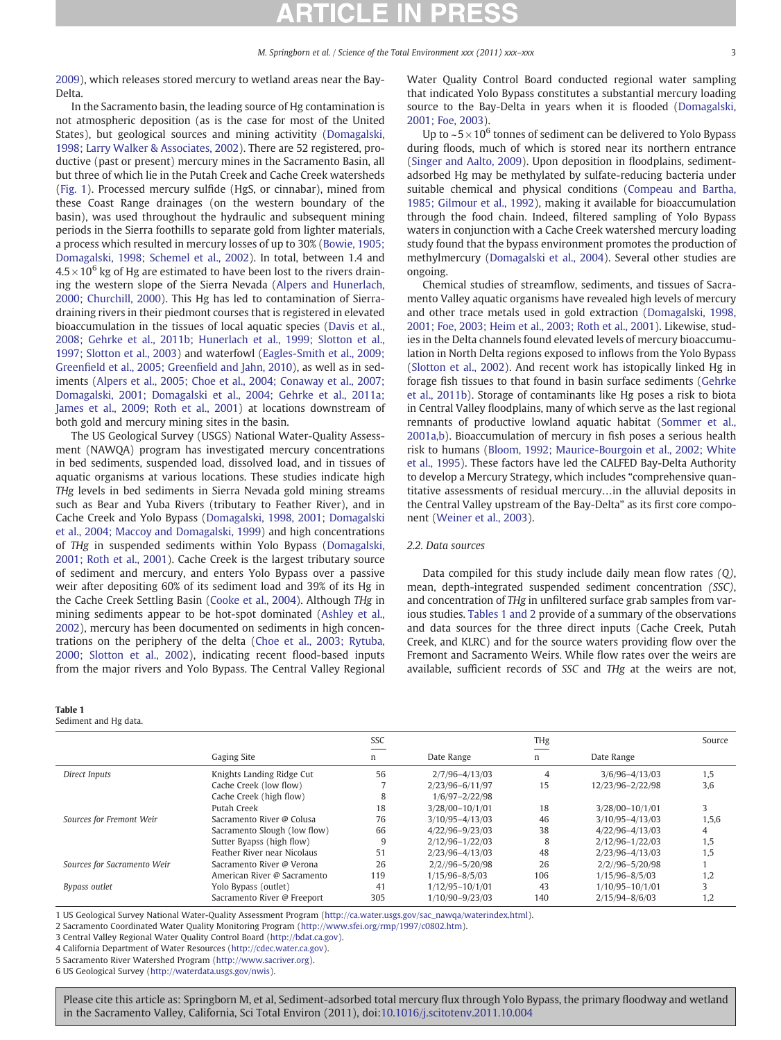<span id="page-2-0"></span>[2009\)](#page-10-0), which releases stored mercury to wetland areas near the Bay-Delta.

In the Sacramento basin, the leading source of Hg contamination is not atmospheric deposition (as is the case for most of the United States), but geological sources and mining activitity [\(Domagalski,](#page-10-0) [1998; Larry Walker & Associates, 2002](#page-10-0)). There are 52 registered, productive (past or present) mercury mines in the Sacramento Basin, all but three of which lie in the Putah Creek and Cache Creek watersheds [\(Fig. 1](#page-1-0)). Processed mercury sulfide (HgS, or cinnabar), mined from these Coast Range drainages (on the western boundary of the basin), was used throughout the hydraulic and subsequent mining periods in the Sierra foothills to separate gold from lighter materials, a process which resulted in mercury losses of up to 30% ([Bowie, 1905;](#page-9-0) [Domagalski, 1998; Schemel et al., 2002](#page-9-0)). In total, between 1.4 and  $4.5 \times 10^6$  kg of Hg are estimated to have been lost to the rivers draining the western slope of the Sierra Nevada ([Alpers and Hunerlach,](#page-9-0) [2000; Churchill, 2000\)](#page-9-0). This Hg has led to contamination of Sierradraining rivers in their piedmont courses that is registered in elevated bioaccumulation in the tissues of local aquatic species ([Davis et al.,](#page-10-0) [2008; Gehrke et al., 2011b; Hunerlach et al., 1999; Slotton et al.,](#page-10-0) [1997; Slotton et al., 2003\)](#page-10-0) and waterfowl [\(Eagles-Smith et al., 2009;](#page-10-0) Greenfi[eld et al., 2005; Green](#page-10-0)field and Jahn, 2010), as well as in sediments ([Alpers et al., 2005; Choe et al., 2004; Conaway et al., 2007;](#page-9-0) [Domagalski, 2001; Domagalski et al., 2004; Gehrke et al., 2011a;](#page-9-0) [James et al., 2009; Roth et al., 2001\)](#page-9-0) at locations downstream of both gold and mercury mining sites in the basin.

The US Geological Survey (USGS) National Water-Quality Assessment (NAWQA) program has investigated mercury concentrations in bed sediments, suspended load, dissolved load, and in tissues of aquatic organisms at various locations. These studies indicate high THg levels in bed sediments in Sierra Nevada gold mining streams such as Bear and Yuba Rivers (tributary to Feather River), and in Cache Creek and Yolo Bypass [\(Domagalski, 1998, 2001; Domagalski](#page-10-0) [et al., 2004; Maccoy and Domagalski, 1999](#page-10-0)) and high concentrations of THg in suspended sediments within Yolo Bypass [\(Domagalski,](#page-10-0) [2001; Roth et al., 2001\)](#page-10-0). Cache Creek is the largest tributary source of sediment and mercury, and enters Yolo Bypass over a passive weir after depositing 60% of its sediment load and 39% of its Hg in the Cache Creek Settling Basin [\(Cooke et al., 2004\)](#page-10-0). Although THg in mining sediments appear to be hot-spot dominated [\(Ashley et al.,](#page-9-0) [2002\)](#page-9-0), mercury has been documented on sediments in high concentrations on the periphery of the delta ([Choe et al., 2003; Rytuba,](#page-9-0) [2000; Slotton et al., 2002](#page-9-0)), indicating recent flood-based inputs from the major rivers and Yolo Bypass. The Central Valley Regional

# Table 1

Sediment and Hg data.

Water Quality Control Board conducted regional water sampling that indicated Yolo Bypass constitutes a substantial mercury loading source to the Bay-Delta in years when it is flooded [\(Domagalski,](#page-10-0) [2001; Foe, 2003\)](#page-10-0).

Up to  $\sim 5 \times 10^6$  tonnes of sediment can be delivered to Yolo Bypass during floods, much of which is stored near its northern entrance [\(Singer and Aalto, 2009](#page-10-0)). Upon deposition in floodplains, sedimentadsorbed Hg may be methylated by sulfate-reducing bacteria under suitable chemical and physical conditions [\(Compeau and Bartha,](#page-10-0) [1985; Gilmour et al., 1992](#page-10-0)), making it available for bioaccumulation through the food chain. Indeed, filtered sampling of Yolo Bypass waters in conjunction with a Cache Creek watershed mercury loading study found that the bypass environment promotes the production of methylmercury ([Domagalski et al., 2004\)](#page-10-0). Several other studies are ongoing.

Chemical studies of streamflow, sediments, and tissues of Sacramento Valley aquatic organisms have revealed high levels of mercury and other trace metals used in gold extraction ([Domagalski, 1998,](#page-10-0) [2001; Foe, 2003; Heim et al., 2003; Roth et al., 2001](#page-10-0)). Likewise, studies in the Delta channels found elevated levels of mercury bioaccumulation in North Delta regions exposed to inflows from the Yolo Bypass [\(Slotton et al., 2002\)](#page-10-0). And recent work has istopically linked Hg in forage fish tissues to that found in basin surface sediments [\(Gehrke](#page-10-0) [et al., 2011b](#page-10-0)). Storage of contaminants like Hg poses a risk to biota in Central Valley floodplains, many of which serve as the last regional remnants of productive lowland aquatic habitat ([Sommer et al.,](#page-10-0) [2001a,b](#page-10-0)). Bioaccumulation of mercury in fish poses a serious health risk to humans [\(Bloom, 1992; Maurice-Bourgoin et al., 2002; White](#page-9-0) [et al., 1995](#page-9-0)). These factors have led the CALFED Bay-Delta Authority to develop a Mercury Strategy, which includes "comprehensive quantitative assessments of residual mercury…in the alluvial deposits in the Central Valley upstream of the Bay-Delta" as its first core component [\(Weiner et al., 2003](#page-10-0)).

### 2.2. Data sources

Data compiled for this study include daily mean flow rates (Q), mean, depth-integrated suspended sediment concentration (SSC), and concentration of THg in unfiltered surface grab samples from various studies. Tables 1 and 2 provide of a summary of the observations and data sources for the three direct inputs (Cache Creek, Putah Creek, and KLRC) and for the source waters providing flow over the Fremont and Sacramento Weirs. While flow rates over the weirs are available, sufficient records of SSC and THg at the weirs are not,

|                             |                              | <b>SSC</b> |                     | THg |                     | Source |
|-----------------------------|------------------------------|------------|---------------------|-----|---------------------|--------|
|                             | Gaging Site                  | n          | Date Range          | n   | Date Range          |        |
| Direct Inputs               | Knights Landing Ridge Cut    | 56         | 2/7/96-4/13/03      | 4   | $3/6/96 - 4/13/03$  | 1,5    |
|                             | Cache Creek (low flow)       |            | 2/23/96-6/11/97     | 15  | 12/23/96-2/22/98    | 3,6    |
|                             | Cache Creek (high flow)      | 8          | $1/6/97 - 2/22/98$  |     |                     |        |
|                             | Putah Creek                  | 18         | $3/28/00 - 10/1/01$ | 18  | $3/28/00 - 10/1/01$ | 3      |
| Sources for Fremont Weir    | Sacramento River @ Colusa    | 76         | 3/10/95-4/13/03     | 46  | 3/10/95-4/13/03     | 1,5,6  |
|                             | Sacramento Slough (low flow) | 66         | $4/22/96 - 9/23/03$ | 38  | $4/22/96 - 4/13/03$ |        |
|                             | Sutter Byapss (high flow)    | 9          | 2/12/96-1/22/03     | 8   | 2/12/96-1/22/03     | 1,5    |
|                             | Feather River near Nicolaus  | 51         | 2/23/96-4/13/03     | 48  | 2/23/96-4/13/03     | 1,5    |
| Sources for Sacramento Weir | Sacramento River @ Verona    | 26         | 2/2//96-5/20/98     | 26  | $2/2$ //96-5/20/98  |        |
|                             | American River @ Sacramento  | 119        | $1/15/96 - 8/5/03$  | 106 | $1/15/96 - 8/5/03$  | 1,2    |
| Bypass outlet               | Yolo Bypass (outlet)         | 41         | $1/12/95 - 10/1/01$ | 43  | $1/10/95 - 10/1/01$ |        |
|                             | Sacramento River @ Freeport  | 305        | 1/10/90-9/23/03     | 140 | $2/15/94 - 8/6/03$  | 1,2    |

1 US Geological Survey National Water-Quality Assessment Program (http://ca.water.usgs.gov/sac\_nawqa/waterindex.html).

2 Sacramento Coordinated Water Quality Monitoring Program (http://www.sfei.org/rmp/1997/c0802.htm).

3 Central Valley Regional Water Quality Control Board (http://bdat.ca.gov).

4 California Department of Water Resources (http://cdec.water.ca.gov).

5 Sacramento River Watershed Program (http://www.sacriver.org).

6 US Geological Survey (http://waterdata.usgs.gov/nwis).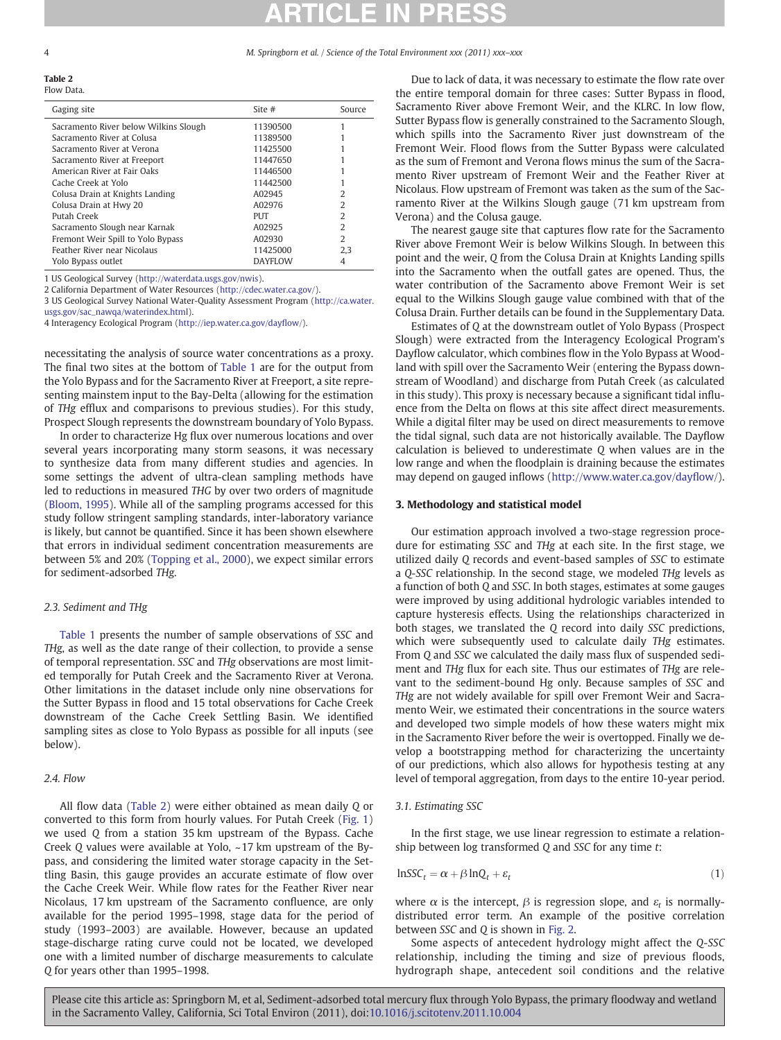### <span id="page-3-0"></span>Table 2 Flow Data.

| 110W DUU.                             |                |                |
|---------------------------------------|----------------|----------------|
| Gaging site                           | Site #         | Source         |
| Sacramento River below Wilkins Slough | 11390500       |                |
| Sacramento River at Colusa            | 11389500       |                |
| Sacramento River at Verona            | 11425500       |                |
| Sacramento River at Freeport          | 11447650       |                |
| American River at Fair Oaks           | 11446500       |                |
| Cache Creek at Yolo                   | 11442500       |                |
| Colusa Drain at Knights Landing       | A02945         | 2              |
| Colusa Drain at Hwy 20                | A02976         | 2              |
| Putah Creek                           | PUT            | 2              |
| Sacramento Slough near Karnak         | A02925         | 2              |
| Fremont Weir Spill to Yolo Bypass     | A02930         | $\overline{2}$ |
| Feather River near Nicolaus           | 11425000       | 2,3            |
| Yolo Bypass outlet                    | <b>DAYFLOW</b> | 4              |
|                                       |                |                |

1 US Geological Survey (http://waterdata.usgs.gov/nwis).

2 California Department of Water Resources (http://cdec.water.ca.gov/).

3 US Geological Survey National Water-Quality Assessment Program (http://ca.water. usgs.gov/sac\_nawqa/waterindex.html).

4 Interagency Ecological Program (http://iep.water.ca.gov/dayflow/).

necessitating the analysis of source water concentrations as a proxy. The final two sites at the bottom of [Table 1](#page-2-0) are for the output from the Yolo Bypass and for the Sacramento River at Freeport, a site representing mainstem input to the Bay-Delta (allowing for the estimation of THg efflux and comparisons to previous studies). For this study, Prospect Slough represents the downstream boundary of Yolo Bypass.

In order to characterize Hg flux over numerous locations and over several years incorporating many storm seasons, it was necessary to synthesize data from many different studies and agencies. In some settings the advent of ultra-clean sampling methods have led to reductions in measured THG by over two orders of magnitude [\(Bloom, 1995](#page-9-0)). While all of the sampling programs accessed for this study follow stringent sampling standards, inter-laboratory variance is likely, but cannot be quantified. Since it has been shown elsewhere that errors in individual sediment concentration measurements are between 5% and 20% ([Topping et al., 2000\)](#page-10-0), we expect similar errors for sediment-adsorbed THg.

# 2.3. Sediment and THg

[Table 1](#page-2-0) presents the number of sample observations of SSC and THg, as well as the date range of their collection, to provide a sense of temporal representation. SSC and THg observations are most limited temporally for Putah Creek and the Sacramento River at Verona. Other limitations in the dataset include only nine observations for the Sutter Bypass in flood and 15 total observations for Cache Creek downstream of the Cache Creek Settling Basin. We identified sampling sites as close to Yolo Bypass as possible for all inputs (see below).

# 2.4. Flow

All flow data (Table 2) were either obtained as mean daily Q or converted to this form from hourly values. For Putah Creek [\(Fig. 1](#page-1-0)) we used Q from a station 35 km upstream of the Bypass. Cache Creek Q values were available at Yolo, ~17 km upstream of the Bypass, and considering the limited water storage capacity in the Settling Basin, this gauge provides an accurate estimate of flow over the Cache Creek Weir. While flow rates for the Feather River near Nicolaus, 17 km upstream of the Sacramento confluence, are only available for the period 1995–1998, stage data for the period of study (1993–2003) are available. However, because an updated stage-discharge rating curve could not be located, we developed one with a limited number of discharge measurements to calculate Q for years other than 1995–1998.

Due to lack of data, it was necessary to estimate the flow rate over the entire temporal domain for three cases: Sutter Bypass in flood, Sacramento River above Fremont Weir, and the KLRC. In low flow, Sutter Bypass flow is generally constrained to the Sacramento Slough, which spills into the Sacramento River just downstream of the Fremont Weir. Flood flows from the Sutter Bypass were calculated as the sum of Fremont and Verona flows minus the sum of the Sacramento River upstream of Fremont Weir and the Feather River at Nicolaus. Flow upstream of Fremont was taken as the sum of the Sacramento River at the Wilkins Slough gauge (71 km upstream from Verona) and the Colusa gauge.

The nearest gauge site that captures flow rate for the Sacramento River above Fremont Weir is below Wilkins Slough. In between this point and the weir, Q from the Colusa Drain at Knights Landing spills into the Sacramento when the outfall gates are opened. Thus, the water contribution of the Sacramento above Fremont Weir is set equal to the Wilkins Slough gauge value combined with that of the Colusa Drain. Further details can be found in the Supplementary Data.

Estimates of Q at the downstream outlet of Yolo Bypass (Prospect Slough) were extracted from the Interagency Ecological Program's Dayflow calculator, which combines flow in the Yolo Bypass at Woodland with spill over the Sacramento Weir (entering the Bypass downstream of Woodland) and discharge from Putah Creek (as calculated in this study). This proxy is necessary because a significant tidal influence from the Delta on flows at this site affect direct measurements. While a digital filter may be used on direct measurements to remove the tidal signal, such data are not historically available. The Dayflow calculation is believed to underestimate Q when values are in the low range and when the floodplain is draining because the estimates may depend on gauged inflows (http://www.water.ca.gov/dayflow/).

## 3. Methodology and statistical model

Our estimation approach involved a two-stage regression procedure for estimating SSC and THg at each site. In the first stage, we utilized daily Q records and event-based samples of SSC to estimate a Q-SSC relationship. In the second stage, we modeled THg levels as a function of both Q and SSC. In both stages, estimates at some gauges were improved by using additional hydrologic variables intended to capture hysteresis effects. Using the relationships characterized in both stages, we translated the Q record into daily SSC predictions, which were subsequently used to calculate daily THg estimates. From Q and SSC we calculated the daily mass flux of suspended sediment and THg flux for each site. Thus our estimates of THg are relevant to the sediment-bound Hg only. Because samples of SSC and THg are not widely available for spill over Fremont Weir and Sacramento Weir, we estimated their concentrations in the source waters and developed two simple models of how these waters might mix in the Sacramento River before the weir is overtopped. Finally we develop a bootstrapping method for characterizing the uncertainty of our predictions, which also allows for hypothesis testing at any level of temporal aggregation, from days to the entire 10-year period.

## 3.1. Estimating SSC

In the first stage, we use linear regression to estimate a relationship between log transformed  $Q$  and SSC for any time  $t$ :

$$
InSSC_t = \alpha + \beta \ln Q_t + \varepsilon_t \tag{1}
$$

where  $\alpha$  is the intercept,  $\beta$  is regression slope, and  $\varepsilon_t$  is normallydistributed error term. An example of the positive correlation between SSC and Q is shown in [Fig. 2.](#page-4-0)

Some aspects of antecedent hydrology might affect the Q-SSC relationship, including the timing and size of previous floods, hydrograph shape, antecedent soil conditions and the relative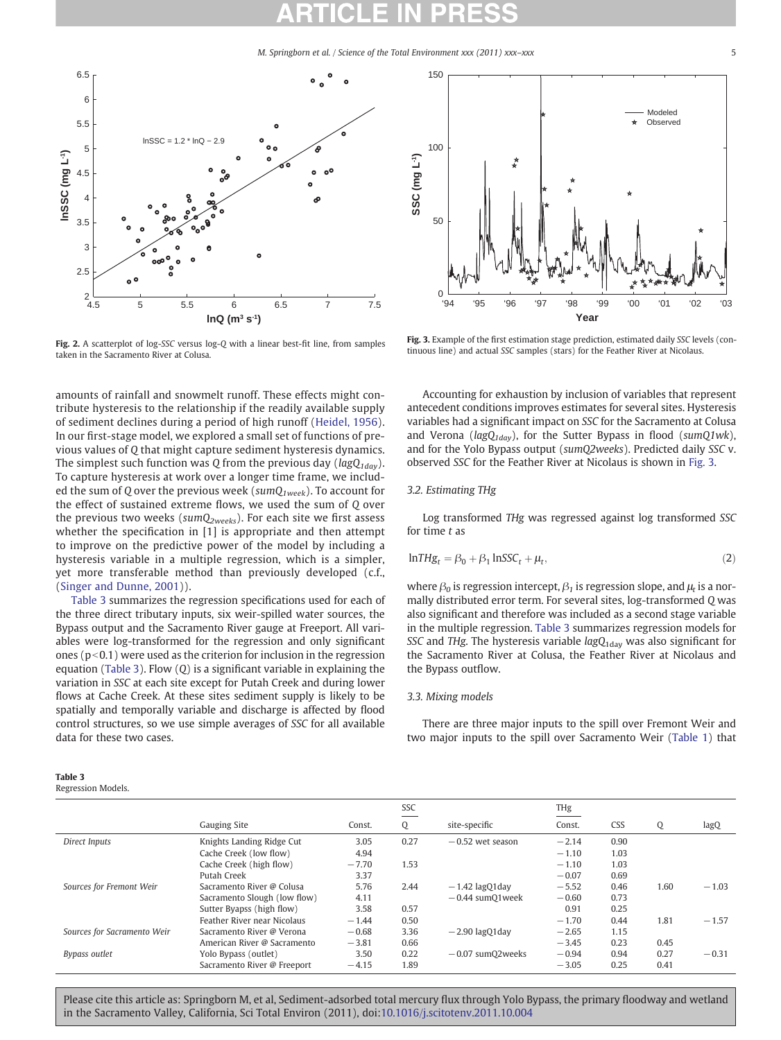M. Springborn et al. / Science of the Total Environment xxx (2011) xxx–xxx

<span id="page-4-0"></span>

Fig. 2. A scatterplot of log-SSC versus log-Q with a linear best-fit line, from samples taken in the Sacramento River at Colusa.

amounts of rainfall and snowmelt runoff. These effects might contribute hysteresis to the relationship if the readily available supply of sediment declines during a period of high runoff ([Heidel, 1956](#page-10-0)). In our first-stage model, we explored a small set of functions of previous values of Q that might capture sediment hysteresis dynamics. The simplest such function was Q from the previous day ( $lagQ_{1dav}$ ). To capture hysteresis at work over a longer time frame, we included the sum of Q over the previous week ( $sumQ<sub>1</sub>$ <sub>week</sub>). To account for the effect of sustained extreme flows, we used the sum of Q over the previous two weeks ( $sumQ_{weeks}$ ). For each site we first assess whether the specification in [1] is appropriate and then attempt to improve on the predictive power of the model by including a hysteresis variable in a multiple regression, which is a simpler, yet more transferable method than previously developed (c.f., [\(Singer and Dunne, 2001\)](#page-10-0)).

Table 3 summarizes the regression specifications used for each of the three direct tributary inputs, six weir-spilled water sources, the Bypass output and the Sacramento River gauge at Freeport. All variables were log-transformed for the regression and only significant ones ( $p<0.1$ ) were used as the criterion for inclusion in the regression equation (Table 3). Flow  $(0)$  is a significant variable in explaining the variation in SSC at each site except for Putah Creek and during lower flows at Cache Creek. At these sites sediment supply is likely to be spatially and temporally variable and discharge is affected by flood control structures, so we use simple averages of SSC for all available data for these two cases.

# Table 3

Regression Models.



Fig. 3. Example of the first estimation stage prediction, estimated daily SSC levels (continuous line) and actual SSC samples (stars) for the Feather River at Nicolaus.

Accounting for exhaustion by inclusion of variables that represent antecedent conditions improves estimates for several sites. Hysteresis variables had a significant impact on SSC for the Sacramento at Colusa and Verona ( $lagQ_{1day}$ ), for the Sutter Bypass in flood (sumQ1wk), and for the Yolo Bypass output (sumQ2weeks). Predicted daily SSC v. observed SSC for the Feather River at Nicolaus is shown in Fig. 3.

# 3.2. Estimating THg

Log transformed THg was regressed against log transformed SSC for time t as

$$
lnTHg_t = \beta_0 + \beta_1 lnSSC_t + \mu_t, \qquad (2)
$$

where  $\beta_0$  is regression intercept,  $\beta_1$  is regression slope, and  $\mu_t$  is a normally distributed error term. For several sites, log-transformed Q was also significant and therefore was included as a second stage variable in the multiple regression. Table 3 summarizes regression models for SSC and THg. The hysteresis variable  $lagQ<sub>1day</sub>$  was also significant for the Sacramento River at Colusa, the Feather River at Nicolaus and the Bypass outflow.

# 3.3. Mixing models

There are three major inputs to the spill over Fremont Weir and two major inputs to the spill over Sacramento Weir ([Table 1](#page-2-0)) that

|                             |                              |         | SSC  |                    |         | THg  |      |         |
|-----------------------------|------------------------------|---------|------|--------------------|---------|------|------|---------|
|                             | Gauging Site                 | Const.  | Q    | site-specific      | Const.  | CSS  | Q    | lagQ    |
| Direct Inputs               | Knights Landing Ridge Cut    | 3.05    | 0.27 | $-0.52$ wet season | $-2.14$ | 0.90 |      |         |
|                             | Cache Creek (low flow)       | 4.94    |      |                    | $-1.10$ | 1.03 |      |         |
|                             | Cache Creek (high flow)      | $-7.70$ | 1.53 |                    | $-1.10$ | 1.03 |      |         |
|                             | Putah Creek                  | 3.37    |      |                    | $-0.07$ | 0.69 |      |         |
| Sources for Fremont Weir    | Sacramento River @ Colusa    | 5.76    | 2.44 | $-1.42$ lagO1day   | $-5.52$ | 0.46 | 1.60 | $-1.03$ |
|                             | Sacramento Slough (low flow) | 4.11    |      | $-0.44$ sumQ1week  | $-0.60$ | 0.73 |      |         |
|                             | Sutter Byapss (high flow)    | 3.58    | 0.57 |                    | 0.91    | 0.25 |      |         |
|                             | Feather River near Nicolaus  | $-1.44$ | 0.50 |                    | $-1.70$ | 0.44 | 1.81 | $-1.57$ |
| Sources for Sacramento Weir | Sacramento River @ Verona    | $-0.68$ | 3.36 | $-2.90$ lagO1day   | $-2.65$ | 1.15 |      |         |
|                             | American River @ Sacramento  | $-3.81$ | 0.66 |                    | $-3.45$ | 0.23 | 0.45 |         |
| Bypass outlet               | Yolo Bypass (outlet)         | 3.50    | 0.22 | $-0.07$ sumQ2weeks | $-0.94$ | 0.94 | 0.27 | $-0.31$ |
|                             | Sacramento River @ Freeport  | $-4.15$ | 1.89 |                    | $-3.05$ | 0.25 | 0.41 |         |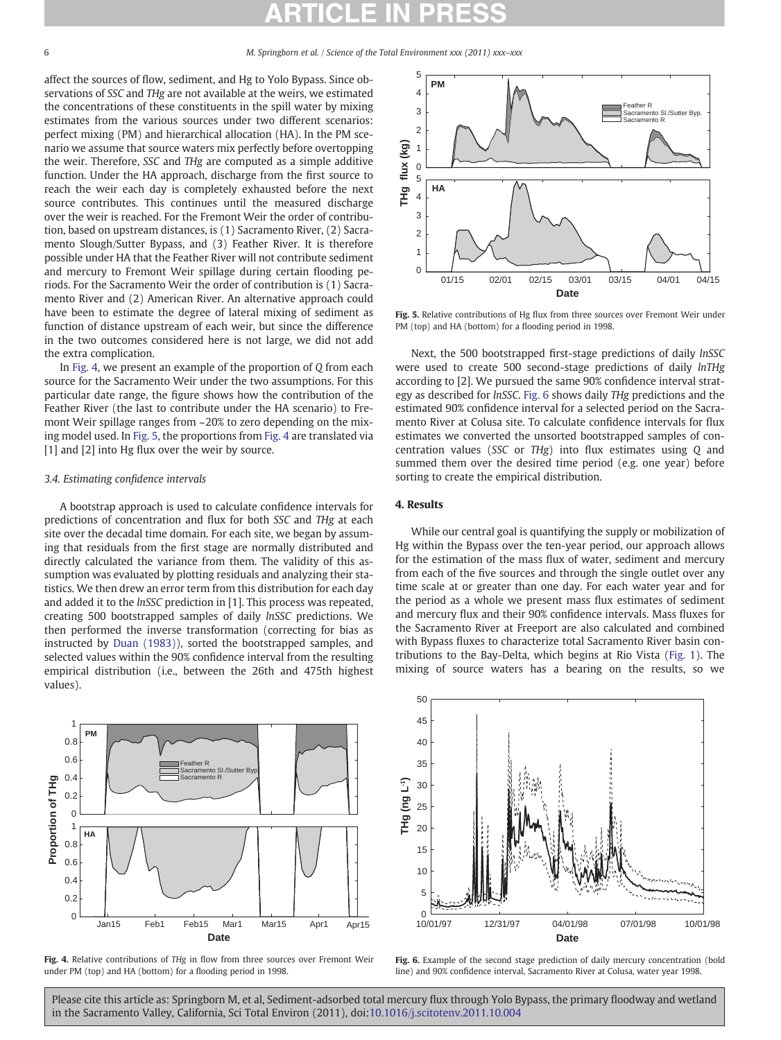<span id="page-5-0"></span>

affect the sources of flow, sediment, and Hg to Yolo Bypass. Since observations of SSC and THg are not available at the weirs, we estimated the concentrations of these constituents in the spill water by mixing estimates from the various sources under two different scenarios: perfect mixing (PM) and hierarchical allocation (HA). In the PM scenario we assume that source waters mix perfectly before overtopping the weir. Therefore, SSC and THg are computed as a simple additive function. Under the HA approach, discharge from the first source to reach the weir each day is completely exhausted before the next source contributes. This continues until the measured discharge over the weir is reached. For the Fremont Weir the order of contribution, based on upstream distances, is (1) Sacramento River, (2) Sacramento Slough/Sutter Bypass, and (3) Feather River. It is therefore possible under HA that the Feather River will not contribute sediment and mercury to Fremont Weir spillage during certain flooding periods. For the Sacramento Weir the order of contribution is (1) Sacramento River and (2) American River. An alternative approach could have been to estimate the degree of lateral mixing of sediment as function of distance upstream of each weir, but since the difference in the two outcomes considered here is not large, we did not add the extra complication.

In Fig. 4, we present an example of the proportion of Q from each source for the Sacramento Weir under the two assumptions. For this particular date range, the figure shows how the contribution of the Feather River (the last to contribute under the HA scenario) to Fremont Weir spillage ranges from ~20% to zero depending on the mixing model used. In Fig. 5, the proportions from Fig. 4 are translated via [1] and [2] into Hg flux over the weir by source.

# 3.4. Estimating confidence intervals

A bootstrap approach is used to calculate confidence intervals for predictions of concentration and flux for both SSC and THg at each site over the decadal time domain. For each site, we began by assuming that residuals from the first stage are normally distributed and directly calculated the variance from them. The validity of this assumption was evaluated by plotting residuals and analyzing their statistics. We then drew an error term from this distribution for each day and added it to the lnSSC prediction in [1]. This process was repeated, creating 500 bootstrapped samples of daily lnSSC predictions. We then performed the inverse transformation (correcting for bias as instructed by [Duan \(1983\)](#page-10-0)), sorted the bootstrapped samples, and selected values within the 90% confidence interval from the resulting empirical distribution (i.e., between the 26th and 475th highest values).



Fig. 4. Relative contributions of THg in flow from three sources over Fremont Weir under PM (top) and HA (bottom) for a flooding period in 1998.



Fig. 5. Relative contributions of Hg flux from three sources over Fremont Weir under PM (top) and HA (bottom) for a flooding period in 1998.

Next, the 500 bootstrapped first-stage predictions of daily lnSSC were used to create 500 second-stage predictions of daily lnTHg according to [2]. We pursued the same 90% confidence interval strategy as described for lnSSC. Fig. 6 shows daily THg predictions and the estimated 90% confidence interval for a selected period on the Sacramento River at Colusa site. To calculate confidence intervals for flux estimates we converted the unsorted bootstrapped samples of concentration values (SSC or THg) into flux estimates using Q and summed them over the desired time period (e.g. one year) before sorting to create the empirical distribution.

# 4. Results

While our central goal is quantifying the supply or mobilization of Hg within the Bypass over the ten-year period, our approach allows for the estimation of the mass flux of water, sediment and mercury from each of the five sources and through the single outlet over any time scale at or greater than one day. For each water year and for the period as a whole we present mass flux estimates of sediment and mercury flux and their 90% confidence intervals. Mass fluxes for the Sacramento River at Freeport are also calculated and combined with Bypass fluxes to characterize total Sacramento River basin contributions to the Bay-Delta, which begins at Rio Vista [\(Fig. 1\)](#page-1-0). The mixing of source waters has a bearing on the results, so we



Fig. 6. Example of the second stage prediction of daily mercury concentration (bold line) and 90% confidence interval, Sacramento River at Colusa, water year 1998.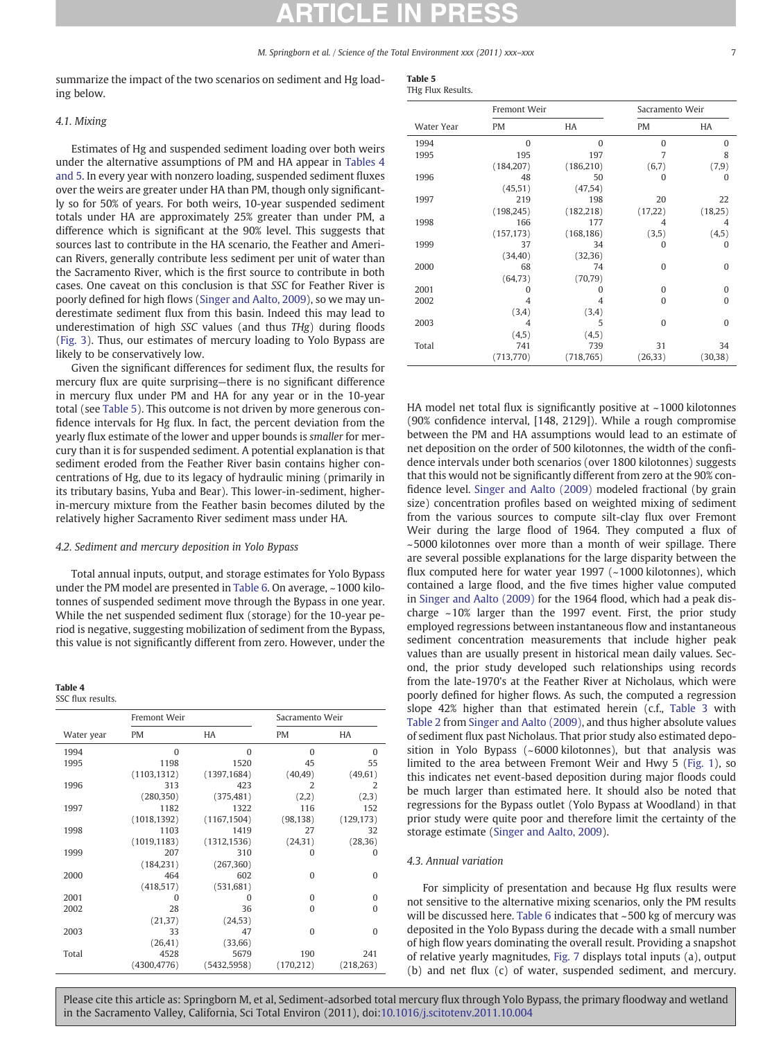summarize the impact of the two scenarios on sediment and Hg loading below.

| Table 5 |                   |
|---------|-------------------|
|         | THg Flux Results. |

# 4.1. Mixing

Estimates of Hg and suspended sediment loading over both weirs under the alternative assumptions of PM and HA appear in Tables 4 and 5. In every year with nonzero loading, suspended sediment fluxes over the weirs are greater under HA than PM, though only significantly so for 50% of years. For both weirs, 10-year suspended sediment totals under HA are approximately 25% greater than under PM, a difference which is significant at the 90% level. This suggests that sources last to contribute in the HA scenario, the Feather and American Rivers, generally contribute less sediment per unit of water than the Sacramento River, which is the first source to contribute in both cases. One caveat on this conclusion is that SSC for Feather River is poorly defined for high flows [\(Singer and Aalto, 2009\)](#page-10-0), so we may underestimate sediment flux from this basin. Indeed this may lead to underestimation of high SSC values (and thus THg) during floods [\(Fig. 3](#page-4-0)). Thus, our estimates of mercury loading to Yolo Bypass are likely to be conservatively low.

Given the significant differences for sediment flux, the results for mercury flux are quite surprising—there is no significant difference in mercury flux under PM and HA for any year or in the 10-year total (see Table 5). This outcome is not driven by more generous confidence intervals for Hg flux. In fact, the percent deviation from the yearly flux estimate of the lower and upper bounds is smaller for mercury than it is for suspended sediment. A potential explanation is that sediment eroded from the Feather River basin contains higher concentrations of Hg, due to its legacy of hydraulic mining (primarily in its tributary basins, Yuba and Bear). This lower-in-sediment, higherin-mercury mixture from the Feather basin becomes diluted by the relatively higher Sacramento River sediment mass under HA.

# 4.2. Sediment and mercury deposition in Yolo Bypass

Total annual inputs, output, and storage estimates for Yolo Bypass under the PM model are presented in [Table 6.](#page-7-0) On average, ~1000 kilotonnes of suspended sediment move through the Bypass in one year. While the net suspended sediment flux (storage) for the 10-year period is negative, suggesting mobilization of sediment from the Bypass, this value is not significantly different from zero. However, under the

### Table 4 SSC flux results.

|            | Fremont Weir |              | Sacramento Weir |                |
|------------|--------------|--------------|-----------------|----------------|
| Water year | PM           | HA           | <b>PM</b>       | НA             |
| 1994       | $\Omega$     | $\bf{0}$     | $\bf{0}$        | $\mathbf{0}$   |
| 1995       | 1198         | 1520         | 45              | 55             |
|            | (1103, 1312) | (1397, 1684) | (40, 49)        | (49,61)        |
| 1996       | 313          | 423          | $\overline{2}$  | 2              |
|            | (280, 350)   | (375, 481)   | (2,2)           | (2,3)          |
| 1997       | 1182         | 1322         | 116             | 152            |
|            | (1018, 1392) | (1167, 1504) | (98, 138)       | (129, 173)     |
| 1998       | 1103         | 1419         | 27              | 32             |
|            | (1019, 1183) | (1312, 1536) | (24, 31)        | (28, 36)       |
| 1999       | 207          | 310          | $\Omega$        | 0              |
|            | (184, 231)   | (267, 360)   |                 |                |
| 2000       | 464          | 602          | $\bf{0}$        | $\overline{0}$ |
|            | (418, 517)   | (531, 681)   |                 |                |
| 2001       | 0            | $\Omega$     | $\bf{0}$        | $\mathbf{0}$   |
| 2002       | 28           | 36           | $\Omega$        | $\Omega$       |
|            | (21, 37)     | (24, 53)     |                 |                |
| 2003       | 33           | 47           | $\bf{0}$        | $\overline{0}$ |
|            | (26, 41)     | (33,66)      |                 |                |
| Total      | 4528         | 5679         | 190             | 241            |
|            | (4300, 4776) | (5432, 5958) | (170, 212)      | (218, 263)     |

|            | Fremont Weir |            | Sacramento Weir |           |
|------------|--------------|------------|-----------------|-----------|
| Water Year | <b>PM</b>    | <b>HA</b>  | <b>PM</b>       | <b>HA</b> |
| 1994       | $\Omega$     | $\Omega$   | $\Omega$        | $\Omega$  |
| 1995       | 195          | 197        | 7               | 8         |
|            | (184,207)    | (186, 210) | (6,7)           | (7,9)     |
| 1996       | 48           | 50         | 0               | 0         |
|            | (45, 51)     | (47, 54)   |                 |           |
| 1997       | 219          | 198        | 20              | 22        |
|            | (198, 245)   | (182, 218) | (17,22)         | (18,25)   |
| 1998       | 166          | 177        | 4               | 4         |
|            | (157, 173)   | (168, 186) | (3,5)           | (4,5)     |
| 1999       | 37           | 34         | 0               | 0         |
|            | (34, 40)     | (32, 36)   |                 |           |
| 2000       | 68           | 74         | $\mathbf{0}$    | 0         |
|            | (64, 73)     | (70, 79)   |                 |           |
| 2001       | $\Omega$     | 0          | 0               | 0         |
| 2002       | 4            | 4          | $\Omega$        | 0         |
|            | (3,4)        | (3,4)      |                 |           |
| 2003       | 4            | 5          | $\Omega$        | 0         |
|            | (4,5)        | (4,5)      |                 |           |
| Total      | 741          | 739        | 31              | 34        |
|            | (713, 770)   | (718, 765) | (26, 33)        | (30, 38)  |

HA model net total flux is significantly positive at  $\sim$ 1000 kilotonnes (90% confidence interval, [148, 2129]). While a rough compromise between the PM and HA assumptions would lead to an estimate of net deposition on the order of 500 kilotonnes, the width of the confidence intervals under both scenarios (over 1800 kilotonnes) suggests that this would not be significantly different from zero at the 90% confidence level. [Singer and Aalto \(2009\)](#page-10-0) modeled fractional (by grain size) concentration profiles based on weighted mixing of sediment from the various sources to compute silt-clay flux over Fremont Weir during the large flood of 1964. They computed a flux of ~5000 kilotonnes over more than a month of weir spillage. There are several possible explanations for the large disparity between the flux computed here for water year 1997 (~1000 kilotonnes), which contained a large flood, and the five times higher value computed in [Singer and Aalto \(2009\)](#page-10-0) for the 1964 flood, which had a peak discharge ~10% larger than the 1997 event. First, the prior study employed regressions between instantaneous flow and instantaneous sediment concentration measurements that include higher peak values than are usually present in historical mean daily values. Second, the prior study developed such relationships using records from the late-1970's at the Feather River at Nicholaus, which were poorly defined for higher flows. As such, the computed a regression slope 42% higher than that estimated herein (c.f., [Table 3](#page-4-0) with [Table 2](#page-3-0) from [Singer and Aalto \(2009\),](#page-10-0) and thus higher absolute values of sediment flux past Nicholaus. That prior study also estimated deposition in Yolo Bypass (~6000 kilotonnes), but that analysis was limited to the area between Fremont Weir and Hwy 5 [\(Fig. 1\)](#page-1-0), so this indicates net event-based deposition during major floods could be much larger than estimated here. It should also be noted that regressions for the Bypass outlet (Yolo Bypass at Woodland) in that prior study were quite poor and therefore limit the certainty of the storage estimate ([Singer and Aalto, 2009](#page-10-0)).

# 4.3. Annual variation

For simplicity of presentation and because Hg flux results were not sensitive to the alternative mixing scenarios, only the PM results will be discussed here. [Table 6](#page-7-0) indicates that ~500 kg of mercury was deposited in the Yolo Bypass during the decade with a small number of high flow years dominating the overall result. Providing a snapshot of relative yearly magnitudes, [Fig. 7](#page-7-0) displays total inputs (a), output (b) and net flux (c) of water, suspended sediment, and mercury.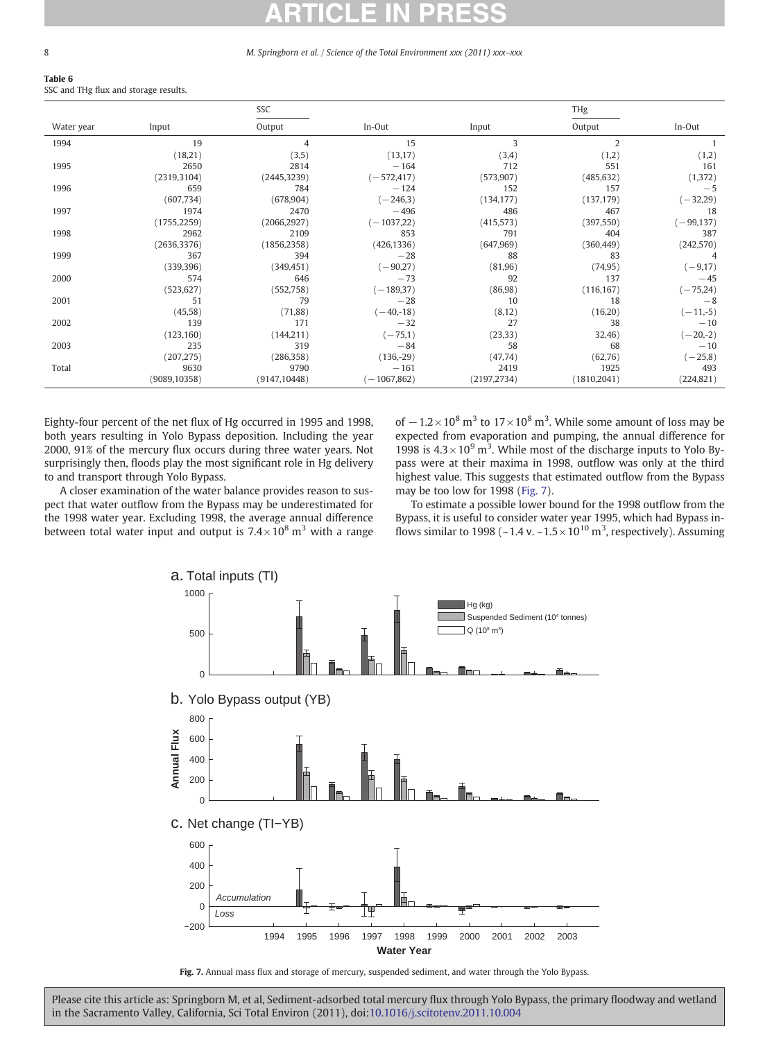<span id="page-7-0"></span>Table 6 SSC and THg flux and storage results.

|            |               | SSC            |                |              | THg            |                |
|------------|---------------|----------------|----------------|--------------|----------------|----------------|
| Water year | Input         | Output         | In-Out         | Input        | Output         | In-Out         |
| 1994       | 19            | $\overline{4}$ | 15             | 3            | $\overline{2}$ |                |
|            | (18,21)       | (3,5)          | (13, 17)       | (3,4)        | (1,2)          | (1,2)          |
| 1995       | 2650          | 2814           | $-164$         | 712          | 551            | 161            |
|            | (2319, 3104)  | (2445, 3239)   | $(-572, 417)$  | (573,907)    | (485, 632)     | (1, 372)       |
| 1996       | 659           | 784            | $-124$         | 152          | 157            | $-5$           |
|            | (607, 734)    | (678, 904)     | $(-246,3)$     | (134, 177)   | (137, 179)     | $(-32,29)$     |
| 1997       | 1974          | 2470           | $-496$         | 486          | 467            | 18             |
|            | (1755, 2259)  | (2066, 2927)   | $(-1037,22)$   | (415, 573)   | (397, 550)     | $(-99, 137)$   |
| 1998       | 2962          | 2109           | 853            | 791          | 404            | 387            |
|            | (2636, 3376)  | (1856, 2358)   | (426, 1336)    | (647, 969)   | (360, 449)     | (242, 570)     |
| 1999       | 367           | 394            | $-28$          | 88           | 83             | $\overline{4}$ |
|            | (339, 396)    | (349, 451)     | $(-90,27)$     | (81,96)      | (74, 95)       | $(-9,17)$      |
| 2000       | 574           | 646            | $-73$          | 92           | 137            | $-45$          |
|            | (523, 627)    | (552, 758)     | $(-189,37)$    | (86,98)      | (116, 167)     | $(-75, 24)$    |
| 2001       | 51            | 79             | $-28$          | 10           | 18             | $-8$           |
|            | (45,58)       | (71, 88)       | $-40,-18$      | (8,12)       | (16,20)        | $(-11,-5)$     |
| 2002       | 139           | 171            | $-32$          | 27           | 38             | $-10$          |
|            | (123,160)     | (144,211)      | $(-75,1)$      | (23, 33)     | 32,46)         | $(-20,-2)$     |
| 2003       | 235           | 319            | $-84$          | 58           | 68             | $-10$          |
|            | (207, 275)    | (286, 358)     | $(136,-29)$    | (47,74)      | (62,76)        | $(-25,8)$      |
| Total      | 9630          | 9790           | $-161$         | 2419         | 1925           | 493            |
|            | (9089, 10358) | (9147, 10448)  | $(-1067, 862)$ | (2197, 2734) | (1810, 2041)   | (224, 821)     |

Eighty-four percent of the net flux of Hg occurred in 1995 and 1998, both years resulting in Yolo Bypass deposition. Including the year 2000, 91% of the mercury flux occurs during three water years. Not surprisingly then, floods play the most significant role in Hg delivery to and transport through Yolo Bypass.

A closer examination of the water balance provides reason to suspect that water outflow from the Bypass may be underestimated for the 1998 water year. Excluding 1998, the average annual difference between total water input and output is  $7.4 \times 10^8$  m<sup>3</sup> with a range of  $-1.2 \times 10^8$  m<sup>3</sup> to  $17 \times 10^8$  m<sup>3</sup>. While some amount of loss may be expected from evaporation and pumping, the annual difference for 1998 is  $4.3 \times 10^9$  m<sup>3</sup>. While most of the discharge inputs to Yolo Bypass were at their maxima in 1998, outflow was only at the third highest value. This suggests that estimated outflow from the Bypass may be too low for 1998 (Fig. 7).

To estimate a possible lower bound for the 1998 outflow from the Bypass, it is useful to consider water year 1995, which had Bypass inflows similar to 1998 ( $\sim$  1.4 v.  $\sim$  1.5  $\times$  10<sup>10</sup> m<sup>3</sup>, respectively). Assuming



Fig. 7. Annual mass flux and storage of mercury, suspended sediment, and water through the Yolo Bypass.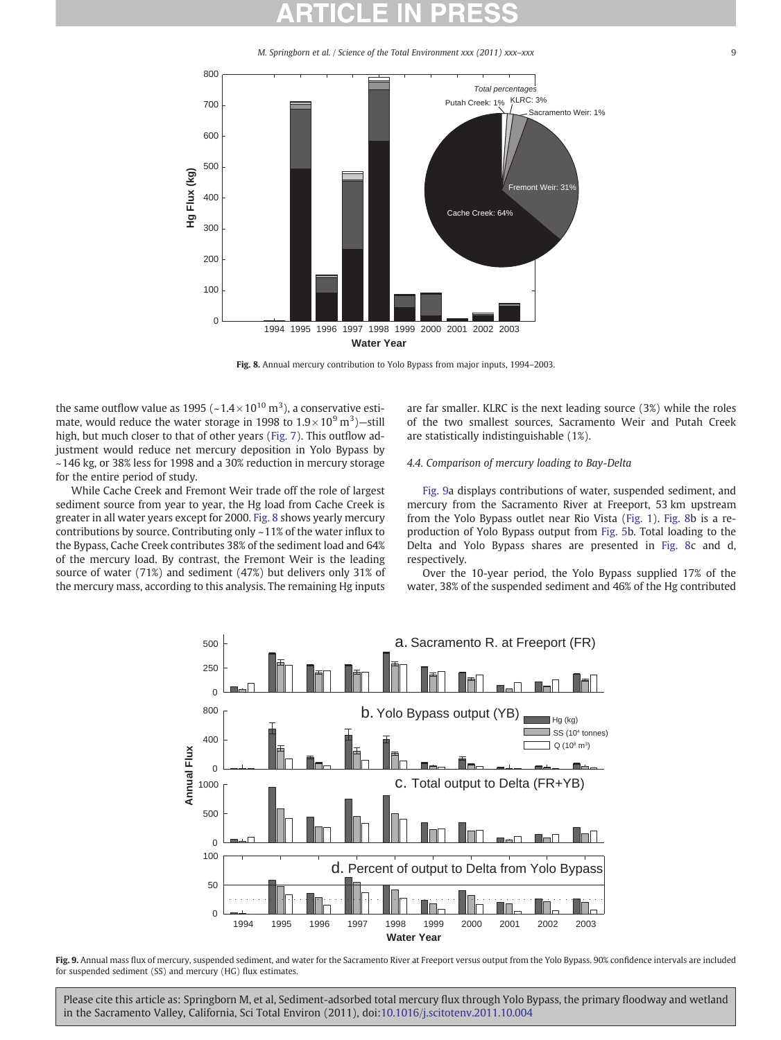

Fig. 8. Annual mercury contribution to Yolo Bypass from major inputs, 1994–2003.

the same outflow value as 1995 ( $\sim$ 1.4 $\times$ 10<sup>10</sup> m<sup>3</sup>), a conservative estimate, would reduce the water storage in 1998 to  $1.9\times10^{9}$  m<sup>3</sup>)–still high, but much closer to that of other years ([Fig. 7](#page-7-0)). This outflow adjustment would reduce net mercury deposition in Yolo Bypass by ~146 kg, or 38% less for 1998 and a 30% reduction in mercury storage for the entire period of study.

While Cache Creek and Fremont Weir trade off the role of largest sediment source from year to year, the Hg load from Cache Creek is greater in all water years except for 2000. Fig. 8 shows yearly mercury contributions by source. Contributing only ~11% of the water influx to the Bypass, Cache Creek contributes 38% of the sediment load and 64% of the mercury load. By contrast, the Fremont Weir is the leading source of water (71%) and sediment (47%) but delivers only 31% of the mercury mass, according to this analysis. The remaining Hg inputs are far smaller. KLRC is the next leading source (3%) while the roles of the two smallest sources, Sacramento Weir and Putah Creek are statistically indistinguishable (1%).

# 4.4. Comparison of mercury loading to Bay-Delta

Fig. 9a displays contributions of water, suspended sediment, and mercury from the Sacramento River at Freeport, 53 km upstream from the Yolo Bypass outlet near Rio Vista ([Fig. 1](#page-1-0)). Fig. 8b is a reproduction of Yolo Bypass output from [Fig. 5b](#page-5-0). Total loading to the Delta and Yolo Bypass shares are presented in Fig. 8c and d, respectively.

Over the 10-year period, the Yolo Bypass supplied 17% of the water, 38% of the suspended sediment and 46% of the Hg contributed



Fig. 9. Annual mass flux of mercury, suspended sediment, and water for the Sacramento River at Freeport versus output from the Yolo Bypass. 90% confidence intervals are included for suspended sediment (SS) and mercury (HG) flux estimates.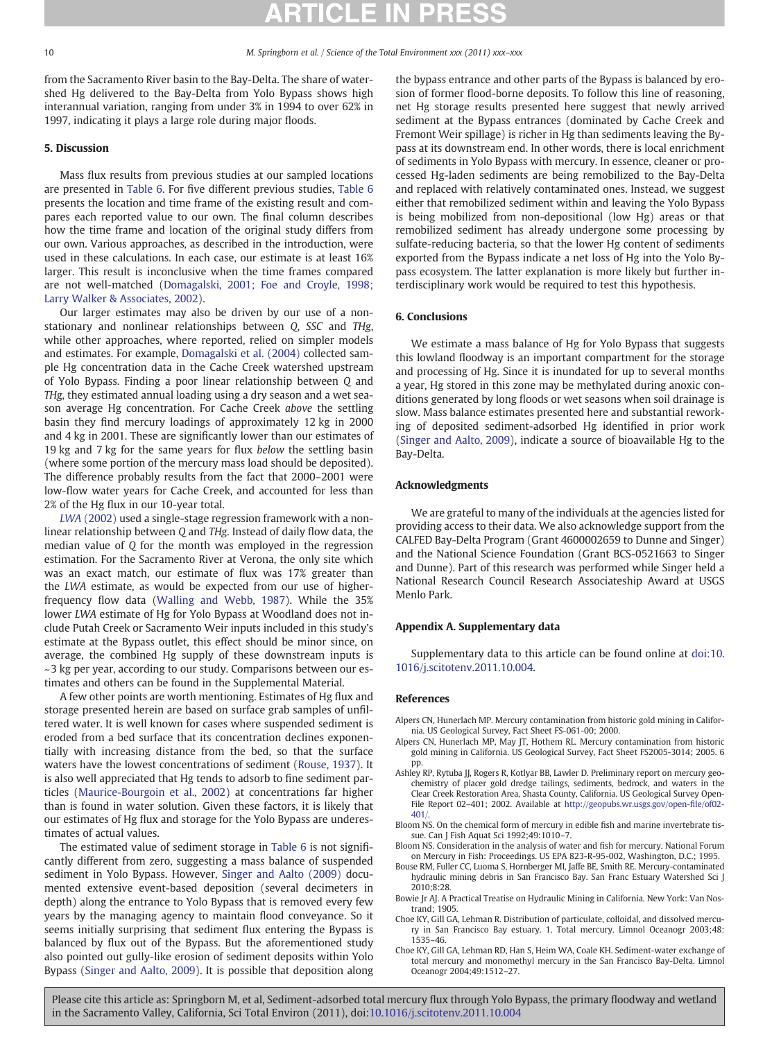<span id="page-9-0"></span>from the Sacramento River basin to the Bay-Delta. The share of watershed Hg delivered to the Bay-Delta from Yolo Bypass shows high interannual variation, ranging from under 3% in 1994 to over 62% in 1997, indicating it plays a large role during major floods.

# 5. Discussion

Mass flux results from previous studies at our sampled locations are presented in [Table 6.](#page-7-0) For five different previous studies, [Table 6](#page-7-0) presents the location and time frame of the existing result and compares each reported value to our own. The final column describes how the time frame and location of the original study differs from our own. Various approaches, as described in the introduction, were used in these calculations. In each case, our estimate is at least 16% larger. This result is inconclusive when the time frames compared are not well-matched ([Domagalski, 2001; Foe and Croyle, 1998;](#page-10-0) [Larry Walker & Associates, 2002](#page-10-0)).

Our larger estimates may also be driven by our use of a nonstationary and nonlinear relationships between Q, SSC and THg, while other approaches, where reported, relied on simpler models and estimates. For example, [Domagalski et al. \(2004\)](#page-10-0) collected sample Hg concentration data in the Cache Creek watershed upstream of Yolo Bypass. Finding a poor linear relationship between Q and THg, they estimated annual loading using a dry season and a wet season average Hg concentration. For Cache Creek above the settling basin they find mercury loadings of approximately 12 kg in 2000 and 4 kg in 2001. These are significantly lower than our estimates of 19 kg and 7 kg for the same years for flux below the settling basin (where some portion of the mercury mass load should be deposited). The difference probably results from the fact that 2000–2001 were low-flow water years for Cache Creek, and accounted for less than 2% of the Hg flux in our 10-year total.

LWA [\(2002\)](#page-10-0) used a single-stage regression framework with a nonlinear relationship between Q and THg. Instead of daily flow data, the median value of Q for the month was employed in the regression estimation. For the Sacramento River at Verona, the only site which was an exact match, our estimate of flux was 17% greater than the LWA estimate, as would be expected from our use of higherfrequency flow data ([Walling and Webb, 1987\)](#page-10-0). While the 35% lower LWA estimate of Hg for Yolo Bypass at Woodland does not include Putah Creek or Sacramento Weir inputs included in this study's estimate at the Bypass outlet, this effect should be minor since, on average, the combined Hg supply of these downstream inputs is ~3 kg per year, according to our study. Comparisons between our estimates and others can be found in the Supplemental Material.

A few other points are worth mentioning. Estimates of Hg flux and storage presented herein are based on surface grab samples of unfiltered water. It is well known for cases where suspended sediment is eroded from a bed surface that its concentration declines exponentially with increasing distance from the bed, so that the surface waters have the lowest concentrations of sediment [\(Rouse, 1937\)](#page-10-0). It is also well appreciated that Hg tends to adsorb to fine sediment particles ([Maurice-Bourgoin et al., 2002](#page-10-0)) at concentrations far higher than is found in water solution. Given these factors, it is likely that our estimates of Hg flux and storage for the Yolo Bypass are underestimates of actual values.

The estimated value of sediment storage in [Table 6](#page-7-0) is not significantly different from zero, suggesting a mass balance of suspended sediment in Yolo Bypass. However, [Singer and Aalto \(2009\)](#page-10-0) documented extensive event-based deposition (several decimeters in depth) along the entrance to Yolo Bypass that is removed every few years by the managing agency to maintain flood conveyance. So it seems initially surprising that sediment flux entering the Bypass is balanced by flux out of the Bypass. But the aforementioned study also pointed out gully-like erosion of sediment deposits within Yolo Bypass ([Singer and Aalto, 2009\)](#page-10-0). It is possible that deposition along

the bypass entrance and other parts of the Bypass is balanced by erosion of former flood-borne deposits. To follow this line of reasoning, net Hg storage results presented here suggest that newly arrived sediment at the Bypass entrances (dominated by Cache Creek and Fremont Weir spillage) is richer in Hg than sediments leaving the Bypass at its downstream end. In other words, there is local enrichment of sediments in Yolo Bypass with mercury. In essence, cleaner or processed Hg-laden sediments are being remobilized to the Bay-Delta and replaced with relatively contaminated ones. Instead, we suggest either that remobilized sediment within and leaving the Yolo Bypass is being mobilized from non-depositional (low Hg) areas or that remobilized sediment has already undergone some processing by sulfate-reducing bacteria, so that the lower Hg content of sediments exported from the Bypass indicate a net loss of Hg into the Yolo Bypass ecosystem. The latter explanation is more likely but further interdisciplinary work would be required to test this hypothesis.

# 6. Conclusions

We estimate a mass balance of Hg for Yolo Bypass that suggests this lowland floodway is an important compartment for the storage and processing of Hg. Since it is inundated for up to several months a year, Hg stored in this zone may be methylated during anoxic conditions generated by long floods or wet seasons when soil drainage is slow. Mass balance estimates presented here and substantial reworking of deposited sediment-adsorbed Hg identified in prior work [\(Singer and Aalto, 2009](#page-10-0)), indicate a source of bioavailable Hg to the Bay-Delta.

# Acknowledgments

We are grateful to many of the individuals at the agencies listed for providing access to their data. We also acknowledge support from the CALFED Bay-Delta Program (Grant 4600002659 to Dunne and Singer) and the National Science Foundation (Grant BCS-0521663 to Singer and Dunne). Part of this research was performed while Singer held a National Research Council Research Associateship Award at USGS Menlo Park.

# Appendix A. Supplementary data

Supplementary data to this article can be found online at doi:10. 1016/j.scitotenv.2011.10.004.

# References

- Alpers CN, Hunerlach MP. Mercury contamination from historic gold mining in California. US Geological Survey, Fact Sheet FS-061-00; 2000.
- Alpers CN, Hunerlach MP, May JT, Hothem RL. Mercury contamination from historic gold mining in California. US Geological Survey, Fact Sheet FS2005-3014; 2005. 6 pp.
- Ashley RP, Rytuba JJ, Rogers R, Kotlyar BB, Lawler D. Preliminary report on mercury geochemistry of placer gold dredge tailings, sediments, bedrock, and waters in the Clear Creek Restoration Area, Shasta County, California. US Geological Survey Open-File Report 02–401; 2002. Available at http://geopubs.wr.usgs.gov/open-file/of02- 401/.
- Bloom NS. On the chemical form of mercury in edible fish and marine invertebrate tissue. Can J Fish Aquat Sci 1992;49:1010–7.

Bloom NS. Consideration in the analysis of water and fish for mercury. National Forum on Mercury in Fish: Proceedings. US EPA 823-R-95-002, Washington, D.C.; 1995.

- Bouse RM, Fuller CC, Luoma S, Hornberger MI, Jaffe BE, Smith RE. Mercury-contaminated hydraulic mining debris in San Francisco Bay. San Franc Estuary Watershed Sci J 2010;8:28.
- Bowie Jr AJ. A Practical Treatise on Hydraulic Mining in California. New York: Van Nostrand; 1905.
- Choe KY, Gill GA, Lehman R. Distribution of particulate, colloidal, and dissolved mercury in San Francisco Bay estuary. 1. Total mercury. Limnol Oceanogr 2003;48: 1535–46.
- Choe KY, Gill GA, Lehman RD, Han S, Heim WA, Coale KH. Sediment-water exchange of total mercury and monomethyl mercury in the San Francisco Bay-Delta. Limnol Oceanogr 2004;49:1512–27.